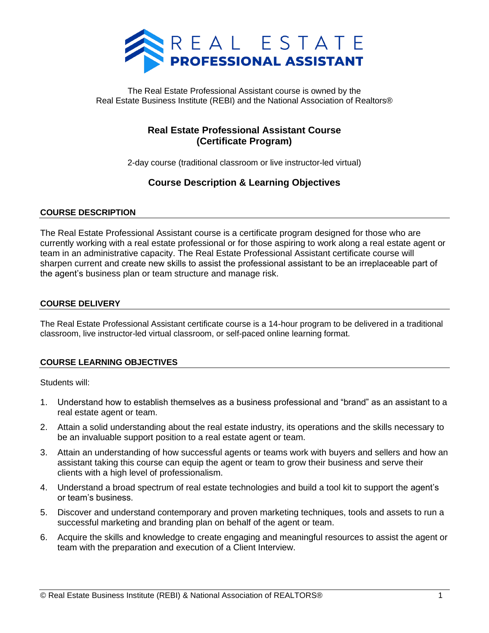

The Real Estate Professional Assistant course is owned by the Real Estate Business Institute (REBI) and the National Association of Realtors®

# **Real Estate Professional Assistant Course (Certificate Program)**

2-day course (traditional classroom or live instructor-led virtual)

# **Course Description & Learning Objectives**

### **COURSE DESCRIPTION**

The Real Estate Professional Assistant course is a certificate program designed for those who are currently working with a real estate professional or for those aspiring to work along a real estate agent or team in an administrative capacity. The Real Estate Professional Assistant certificate course will sharpen current and create new skills to assist the professional assistant to be an irreplaceable part of the agent's business plan or team structure and manage risk.

### **COURSE DELIVERY**

The Real Estate Professional Assistant certificate course is a 14-hour program to be delivered in a traditional classroom, live instructor-led virtual classroom, or self-paced online learning format.

#### **COURSE LEARNING OBJECTIVES**

Students will:

- 1. Understand how to establish themselves as a business professional and "brand" as an assistant to a real estate agent or team.
- 2. Attain a solid understanding about the real estate industry, its operations and the skills necessary to be an invaluable support position to a real estate agent or team.
- 3. Attain an understanding of how successful agents or teams work with buyers and sellers and how an assistant taking this course can equip the agent or team to grow their business and serve their clients with a high level of professionalism.
- 4. Understand a broad spectrum of real estate technologies and build a tool kit to support the agent's or team's business.
- 5. Discover and understand contemporary and proven marketing techniques, tools and assets to run a successful marketing and branding plan on behalf of the agent or team.
- 6. Acquire the skills and knowledge to create engaging and meaningful resources to assist the agent or team with the preparation and execution of a Client Interview.